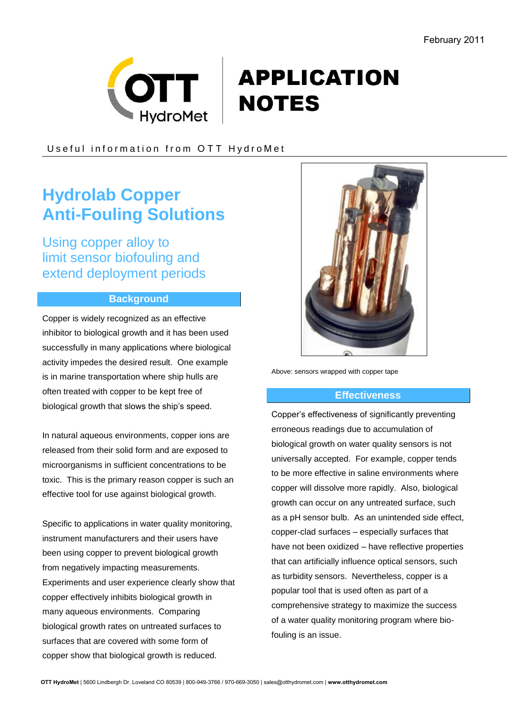

# **APPLICATION NOTES**

Useful information from OTT HydroMet

## **Hydrolab Copper Anti-Fouling Solutions**

Using copper alloy to limit sensor biofouling and extend deployment periods

### **Background**

Copper is widely recognized as an effective inhibitor to biological growth and it has been used successfully in many applications where biological activity impedes the desired result. One example is in marine transportation where ship hulls are often treated with copper to be kept free of biological growth that slows the ship's speed.

In natural aqueous environments, copper ions are released from their solid form and are exposed to microorganisms in sufficient concentrations to be toxic. This is the primary reason copper is such an effective tool for use against biological growth.

Specific to applications in water quality monitoring, instrument manufacturers and their users have been using copper to prevent biological growth from negatively impacting measurements. Experiments and user experience clearly show that copper effectively inhibits biological growth in many aqueous environments. Comparing biological growth rates on untreated surfaces to surfaces that are covered with some form of copper show that biological growth is reduced.



Above: sensors wrapped with copper tape

#### **Effectiveness**

Copper's effectiveness of significantly preventing erroneous readings due to accumulation of biological growth on water quality sensors is not universally accepted. For example, copper tends to be more effective in saline environments where copper will dissolve more rapidly. Also, biological growth can occur on any untreated surface, such as a pH sensor bulb. As an unintended side effect, copper-clad surfaces – especially surfaces that have not been oxidized – have reflective properties that can artificially influence optical sensors, such as turbidity sensors. Nevertheless, copper is a popular tool that is used often as part of a comprehensive strategy to maximize the success of a water quality monitoring program where biofouling is an issue.